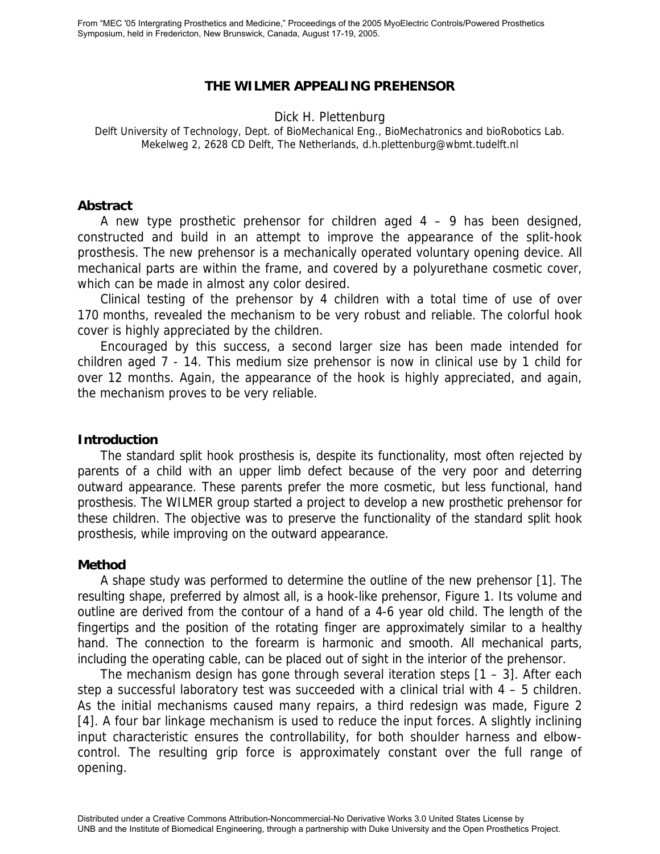# **THE WILMER APPEALING PREHENSOR**

#### Dick H. Plettenburg

Delft University of Technology, Dept. of BioMechanical Eng., BioMechatronics and bioRobotics Lab. Mekelweg 2, 2628 CD Delft, The Netherlands, d.h.plettenburg@wbmt.tudelft.nl

#### **Abstract**

A new type prosthetic prehensor for children aged  $4 - 9$  has been designed, constructed and build in an attempt to improve the appearance of the split-hook prosthesis. The new prehensor is a mechanically operated voluntary opening device. All mechanical parts are within the frame, and covered by a polyurethane cosmetic cover, which can be made in almost any color desired.

Clinical testing of the prehensor by 4 children with a total time of use of over 170 months, revealed the mechanism to be very robust and reliable. The colorful hook cover is highly appreciated by the children.

Encouraged by this success, a second larger size has been made intended for children aged 7 - 14. This medium size prehensor is now in clinical use by 1 child for over 12 months. Again, the appearance of the hook is highly appreciated, and again, the mechanism proves to be very reliable.

### **Introduction**

The standard split hook prosthesis is, despite its functionality, most often rejected by parents of a child with an upper limb defect because of the very poor and deterring outward appearance. These parents prefer the more cosmetic, but less functional, hand prosthesis. The WILMER group started a project to develop a new prosthetic prehensor for these children. The objective was to preserve the functionality of the standard split hook prosthesis, while improving on the outward appearance.

# **Method**

A shape study was performed to determine the outline of the new prehensor [1]. The resulting shape, preferred by almost all, is a hook-like prehensor, Figure 1. Its volume and outline are derived from the contour of a hand of a 4-6 year old child. The length of the fingertips and the position of the rotating finger are approximately similar to a healthy hand. The connection to the forearm is harmonic and smooth. All mechanical parts, including the operating cable, can be placed out of sight in the interior of the prehensor.

The mechanism design has gone through several iteration steps [1 – 3]. After each step a successful laboratory test was succeeded with a clinical trial with 4 – 5 children. As the initial mechanisms caused many repairs, a third redesign was made, Figure 2 [4]. A four bar linkage mechanism is used to reduce the input forces. A slightly inclining input characteristic ensures the controllability, for both shoulder harness and elbowcontrol. The resulting grip force is approximately constant over the full range of opening.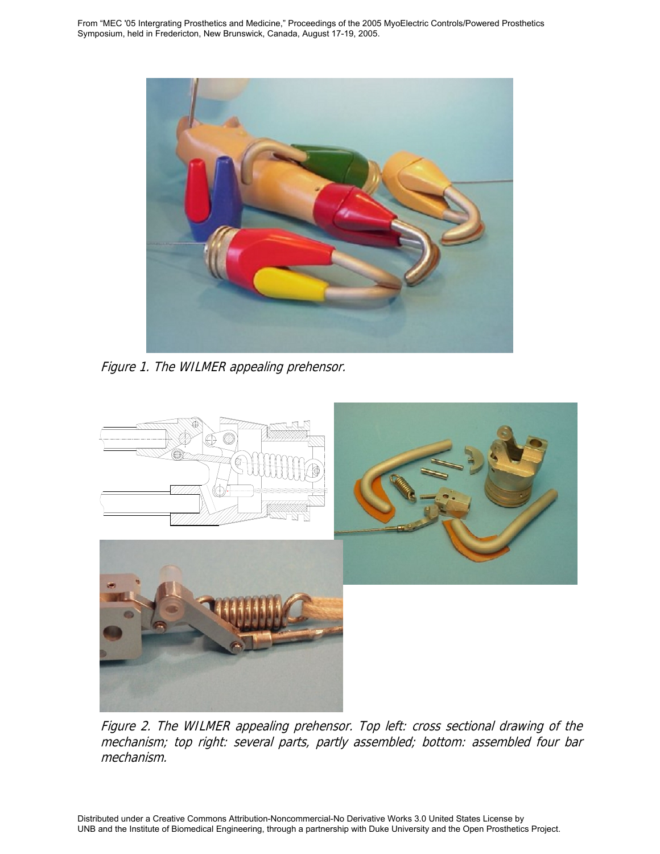From "MEC '05 Intergrating Prosthetics and Medicine," Proceedings of the 2005 MyoElectric Controls/Powered Prosthetics Symposium, held in Fredericton, New Brunswick, Canada, August 17-19, 2005.



Figure 1. The WILMER appealing prehensor.



Figure 2. The WILMER appealing prehensor. Top left: cross sectional drawing of the mechanism; top right: several parts, partly assembled; bottom: assembled four bar mechanism.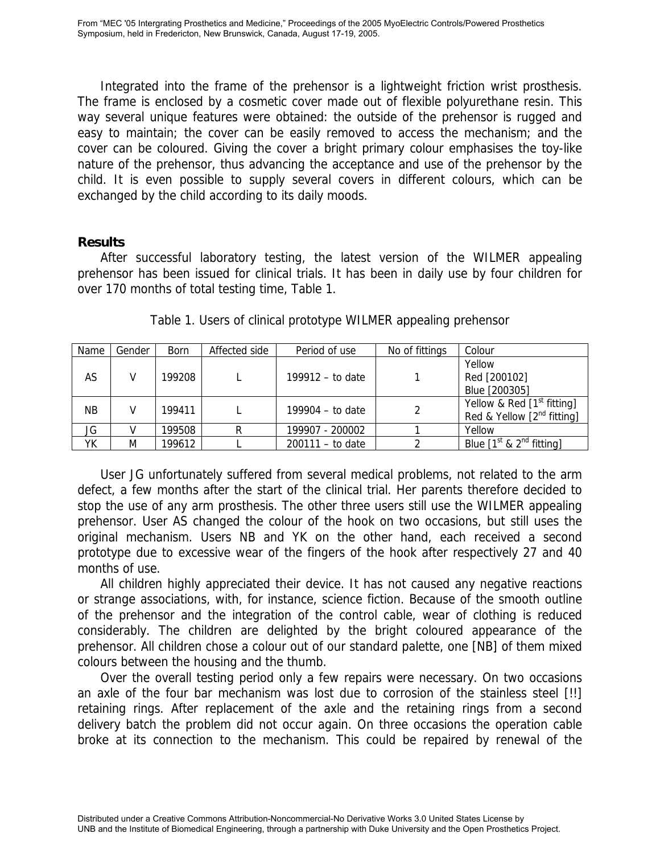Integrated into the frame of the prehensor is a lightweight friction wrist prosthesis. The frame is enclosed by a cosmetic cover made out of flexible polyurethane resin. This way several unique features were obtained: the outside of the prehensor is rugged and easy to maintain; the cover can be easily removed to access the mechanism; and the cover can be coloured. Giving the cover a bright primary colour emphasises the toy-like nature of the prehensor, thus advancing the acceptance and use of the prehensor by the child. It is even possible to supply several covers in different colours, which can be exchanged by the child according to its daily moods.

# **Results**

After successful laboratory testing, the latest version of the WILMER appealing prehensor has been issued for clinical trials. It has been in daily use by four children for over 170 months of total testing time, Table 1.

| Name      | Gender | <b>Born</b> | Affected side | Period of use      | No of fittings | Colour                          |
|-----------|--------|-------------|---------------|--------------------|----------------|---------------------------------|
| AS        |        | 199208      |               | 199912 – to date   |                | Yellow<br>Red [200102]          |
|           |        |             |               |                    |                | Blue [200305]                   |
| <b>NB</b> |        | 199411      |               | 199904 $-$ to date |                | Yellow & Red $[1st fitting]$    |
|           |        |             |               |                    |                | Red & Yellow $[2^{nd}$ fitting] |
| JG        |        | 199508      | R             | 199907 - 200002    |                | Yellow                          |
| YK        | M      | 199612      |               | $200111 -$ to date |                | Blue $[1st$ & $2nd$ fitting]    |

Table 1. Users of clinical prototype WILMER appealing prehensor

User JG unfortunately suffered from several medical problems, not related to the arm defect, a few months after the start of the clinical trial. Her parents therefore decided to stop the use of any arm prosthesis. The other three users still use the WILMER appealing prehensor. User AS changed the colour of the hook on two occasions, but still uses the original mechanism. Users NB and YK on the other hand, each received a second prototype due to excessive wear of the fingers of the hook after respectively 27 and 40 months of use.

All children highly appreciated their device. It has not caused any negative reactions or strange associations, with, for instance, science fiction. Because of the smooth outline of the prehensor and the integration of the control cable, wear of clothing is reduced considerably. The children are delighted by the bright coloured appearance of the prehensor. All children chose a colour out of our standard palette, one [NB] of them mixed colours between the housing and the thumb.

Over the overall testing period only a few repairs were necessary. On two occasions an axle of the four bar mechanism was lost due to corrosion of the stainless steel [!!] retaining rings. After replacement of the axle and the retaining rings from a second delivery batch the problem did not occur again. On three occasions the operation cable broke at its connection to the mechanism. This could be repaired by renewal of the